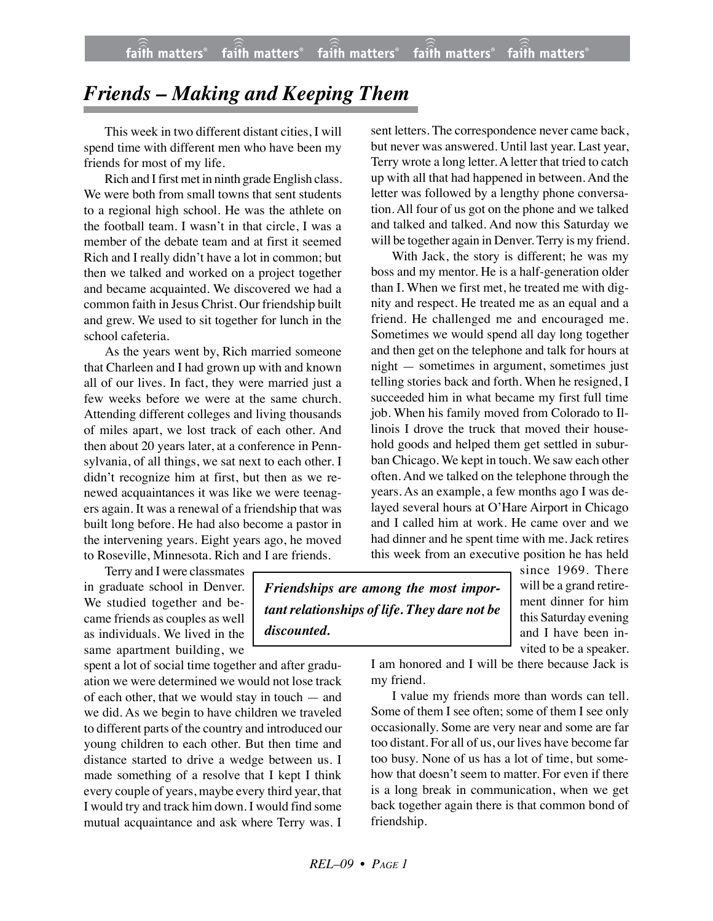## *Friends – Making and Keeping Them*

This week in two different distant cities, I will spend time with different men who have been my friends for most of my life.

Rich and I first met in ninth grade English class. We were both from small towns that sent students to a regional high school. He was the athlete on the football team. I wasn't in that circle, I was a member of the debate team and at first it seemed Rich and I really didn't have a lot in common; but then we talked and worked on a project together and became acquainted. We discovered we had a common faith in Jesus Christ. Our friendship built and grew. We used to sit together for lunch in the school cafeteria.

As the years went by, Rich married someone that Charleen and I had grown up with and known all of our lives. In fact, they were married just a few weeks before we were at the same church. Attending different colleges and living thousands of miles apart, we lost track of each other. And then about 20 years later, at a conference in Pennsylvania, of all things, we sat next to each other. I didn't recognize him at first, but then as we renewed acquaintances it was like we were teenagers again. It was a renewal of a friendship that was built long before. He had also become a pastor in the intervening years. Eight years ago, he moved to Roseville, Minnesota. Rich and I are friends.

Terry and I were classmates in graduate school in Denver. We studied together and became friends as couples as well as individuals. We lived in the same apartment building, we

spent a lot of social time together and after graduation we were determined we would not lose track of each other, that we would stay in touch — and we did. As we begin to have children we traveled to different parts of the country and introduced our young children to each other. But then time and distance started to drive a wedge between us. I made something of a resolve that I kept I think every couple of years, maybe every third year, that I would try and track him down. I would find some mutual acquaintance and ask where Terry was. I sent letters. The correspondence never came back, but never was answered. Until last year. Last year, Terry wrote a long letter. A letter that tried to catch up with all that had happened in between. And the letter was followed by a lengthy phone conversation. All four of us got on the phone and we talked and talked and talked. And now this Saturday we will be together again in Denver. Terry is my friend.

With Jack, the story is different; he was my boss and my mentor. He is a half-generation older than I. When we first met, he treated me with dignity and respect. He treated me as an equal and a friend. He challenged me and encouraged me. Sometimes we would spend all day long together and then get on the telephone and talk for hours at night — sometimes in argument, sometimes just telling stories back and forth. When he resigned, I succeeded him in what became my first full time job. When his family moved from Colorado to Illinois I drove the truck that moved their household goods and helped them get settled in suburban Chicago. We kept in touch. We saw each other often. And we talked on the telephone through the years. As an example, a few months ago I was delayed several hours at O'Hare Airport in Chicago and I called him at work. He came over and we had dinner and he spent time with me. Jack retires this week from an executive position he has held

*Friendships are among the most important relationships of life. They dare not be discounted.*

since 1969. There will be a grand retirement dinner for him this Saturday evening and I have been invited to be a speaker.

I am honored and I will be there because Jack is my friend.

I value my friends more than words can tell. Some of them I see often; some of them I see only occasionally. Some are very near and some are far too distant. For all of us, our lives have become far too busy. None of us has a lot of time, but somehow that doesn't seem to matter. For even if there is a long break in communication, when we get back together again there is that common bond of friendship.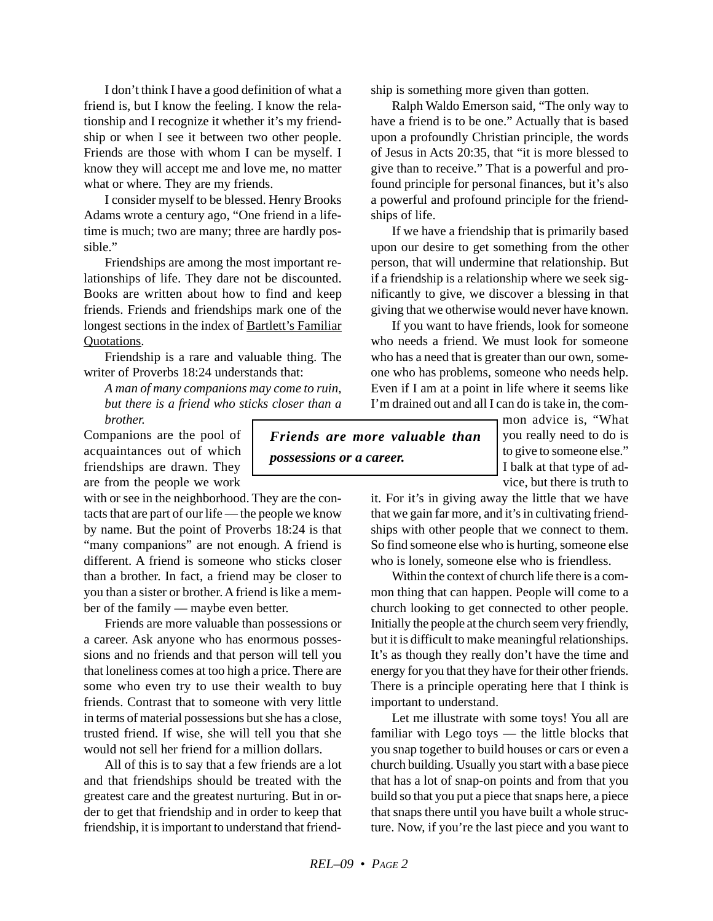I don't think I have a good definition of what a friend is, but I know the feeling. I know the relationship and I recognize it whether it's my friendship or when I see it between two other people. Friends are those with whom I can be myself. I know they will accept me and love me, no matter what or where. They are my friends.

I consider myself to be blessed. Henry Brooks Adams wrote a century ago, "One friend in a lifetime is much; two are many; three are hardly possible."

Friendships are among the most important relationships of life. They dare not be discounted. Books are written about how to find and keep friends. Friends and friendships mark one of the longest sections in the index of Bartlett's Familiar Quotations.

Friendship is a rare and valuable thing. The writer of Proverbs 18:24 understands that:

*A man of many companions may come to ruin, but there is a friend who sticks closer than a brother.*

Companions are the pool of acquaintances out of which friendships are drawn. They are from the people we work

with or see in the neighborhood. They are the contacts that are part of our life — the people we know by name. But the point of Proverbs 18:24 is that "many companions" are not enough. A friend is different. A friend is someone who sticks closer than a brother. In fact, a friend may be closer to you than a sister or brother. A friend is like a member of the family — maybe even better.

Friends are more valuable than possessions or a career. Ask anyone who has enormous possessions and no friends and that person will tell you that loneliness comes at too high a price. There are some who even try to use their wealth to buy friends. Contrast that to someone with very little in terms of material possessions but she has a close, trusted friend. If wise, she will tell you that she would not sell her friend for a million dollars.

All of this is to say that a few friends are a lot and that friendships should be treated with the greatest care and the greatest nurturing. But in order to get that friendship and in order to keep that friendship, it is important to understand that friend-

*Friends are more valuable than possessions or a career.*

mon advice is, "What you really need to do is to give to someone else." I balk at that type of advice, but there is truth to

it. For it's in giving away the little that we have that we gain far more, and it's in cultivating friendships with other people that we connect to them. So find someone else who is hurting, someone else who is lonely, someone else who is friendless.

Within the context of church life there is a common thing that can happen. People will come to a church looking to get connected to other people. Initially the people at the church seem very friendly, but it is difficult to make meaningful relationships. It's as though they really don't have the time and energy for you that they have for their other friends. There is a principle operating here that I think is important to understand.

Let me illustrate with some toys! You all are familiar with Lego toys — the little blocks that you snap together to build houses or cars or even a church building. Usually you start with a base piece that has a lot of snap-on points and from that you build so that you put a piece that snaps here, a piece that snaps there until you have built a whole structure. Now, if you're the last piece and you want to

ship is something more given than gotten. Ralph Waldo Emerson said, "The only way to

have a friend is to be one." Actually that is based upon a profoundly Christian principle, the words of Jesus in Acts 20:35, that "it is more blessed to give than to receive." That is a powerful and profound principle for personal finances, but it's also a powerful and profound principle for the friendships of life.

If we have a friendship that is primarily based upon our desire to get something from the other person, that will undermine that relationship. But if a friendship is a relationship where we seek significantly to give, we discover a blessing in that giving that we otherwise would never have known.

If you want to have friends, look for someone who needs a friend. We must look for someone who has a need that is greater than our own, someone who has problems, someone who needs help. Even if I am at a point in life where it seems like I'm drained out and all I can do is take in, the com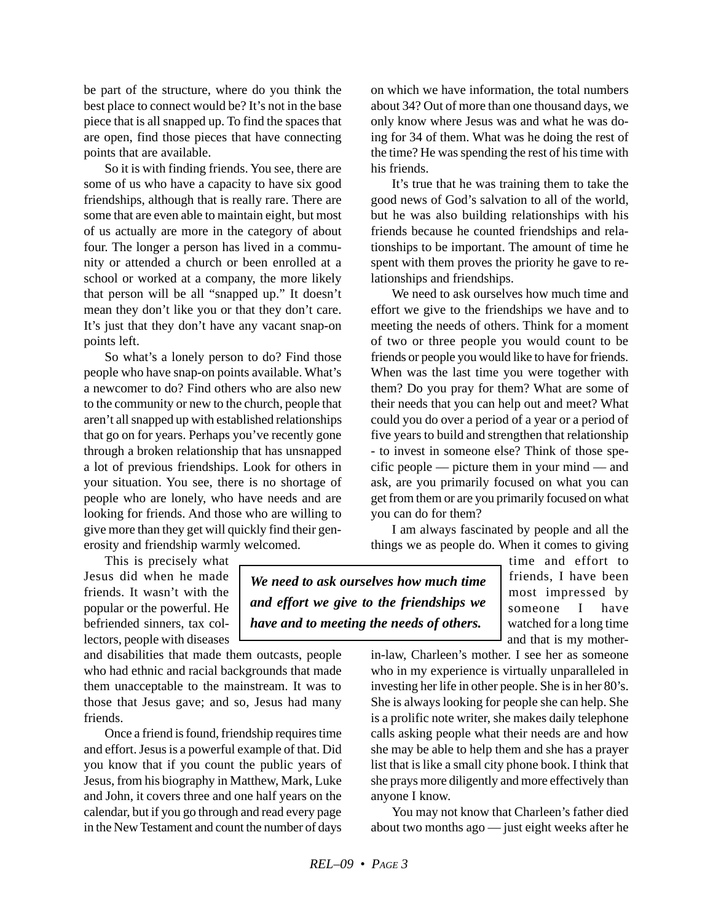be part of the structure, where do you think the best place to connect would be? It's not in the base piece that is all snapped up. To find the spaces that are open, find those pieces that have connecting points that are available.

So it is with finding friends. You see, there are some of us who have a capacity to have six good friendships, although that is really rare. There are some that are even able to maintain eight, but most of us actually are more in the category of about four. The longer a person has lived in a community or attended a church or been enrolled at a school or worked at a company, the more likely that person will be all "snapped up." It doesn't mean they don't like you or that they don't care. It's just that they don't have any vacant snap-on points left.

So what's a lonely person to do? Find those people who have snap-on points available. What's a newcomer to do? Find others who are also new to the community or new to the church, people that aren't all snapped up with established relationships that go on for years. Perhaps you've recently gone through a broken relationship that has unsnapped a lot of previous friendships. Look for others in your situation. You see, there is no shortage of people who are lonely, who have needs and are looking for friends. And those who are willing to give more than they get will quickly find their generosity and friendship warmly welcomed.

This is precisely what Jesus did when he made friends. It wasn't with the popular or the powerful. He befriended sinners, tax collectors, people with diseases

and disabilities that made them outcasts, people who had ethnic and racial backgrounds that made them unacceptable to the mainstream. It was to those that Jesus gave; and so, Jesus had many friends.

Once a friend is found, friendship requires time and effort. Jesus is a powerful example of that. Did you know that if you count the public years of Jesus, from his biography in Matthew, Mark, Luke and John, it covers three and one half years on the calendar, but if you go through and read every page in the New Testament and count the number of days on which we have information, the total numbers about 34? Out of more than one thousand days, we only know where Jesus was and what he was doing for 34 of them. What was he doing the rest of the time? He was spending the rest of his time with his friends.

It's true that he was training them to take the good news of God's salvation to all of the world, but he was also building relationships with his friends because he counted friendships and relationships to be important. The amount of time he spent with them proves the priority he gave to relationships and friendships.

We need to ask ourselves how much time and effort we give to the friendships we have and to meeting the needs of others. Think for a moment of two or three people you would count to be friends or people you would like to have for friends. When was the last time you were together with them? Do you pray for them? What are some of their needs that you can help out and meet? What could you do over a period of a year or a period of five years to build and strengthen that relationship - to invest in someone else? Think of those specific people — picture them in your mind — and ask, are you primarily focused on what you can get from them or are you primarily focused on what you can do for them?

I am always fascinated by people and all the things we as people do. When it comes to giving

*We need to ask ourselves how much time and effort we give to the friendships we have and to meeting the needs of others.*

time and effort to friends, I have been most impressed by someone I have watched for a long time and that is my mother-

in-law, Charleen's mother. I see her as someone who in my experience is virtually unparalleled in investing her life in other people. She is in her 80's. She is always looking for people she can help. She is a prolific note writer, she makes daily telephone calls asking people what their needs are and how she may be able to help them and she has a prayer list that is like a small city phone book. I think that she prays more diligently and more effectively than anyone I know.

You may not know that Charleen's father died about two months ago — just eight weeks after he